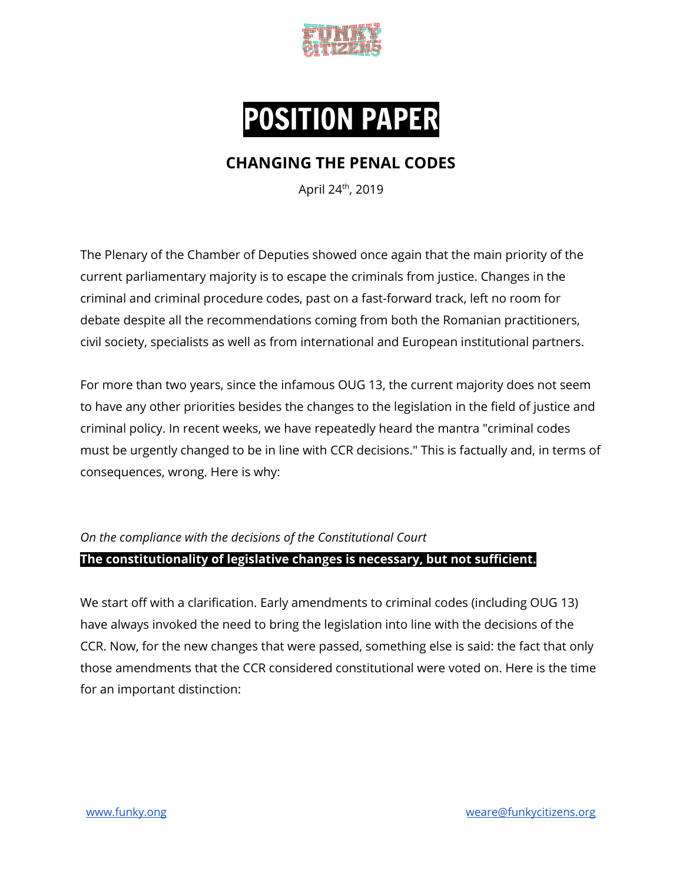



# **CHANGING THE PENAL CODES**

April 24<sup>th</sup>, 2019

The Plenary of the Chamber of Deputies showed once again that the main priority of the current parliamentary majority is to escape the criminals from justice. Changes in the criminal and criminal procedure codes, past on a fast-forward track, left no room for debate despite all the recommendations coming from both the Romanian practitioners, civil society, specialists as well as from international and European institutional partners.

For more than two years, since the infamous OUG 13, the current majority does not seem to have any other priorities besides the changes to the legislation in the field of justice and criminal policy. In recent weeks, we have repeatedly heard the mantra "criminal codes must be urgently changed to be in line with CCR decisions." This is factually and, in terms of consequences, wrong. Here is why:

# *On the compliance with the decisions of the Constitutional Court* **The constitutionality of legislative changes is necessary, but not sufficient.**

We start off with a clarification. Early amendments to criminal codes (including OUG 13) have always invoked the need to bring the legislation into line with the decisions of the CCR. Now, for the new changes that were passed, something else is said: the fact that only those amendments that the CCR considered constitutional were voted on. Here is the time for an important distinction: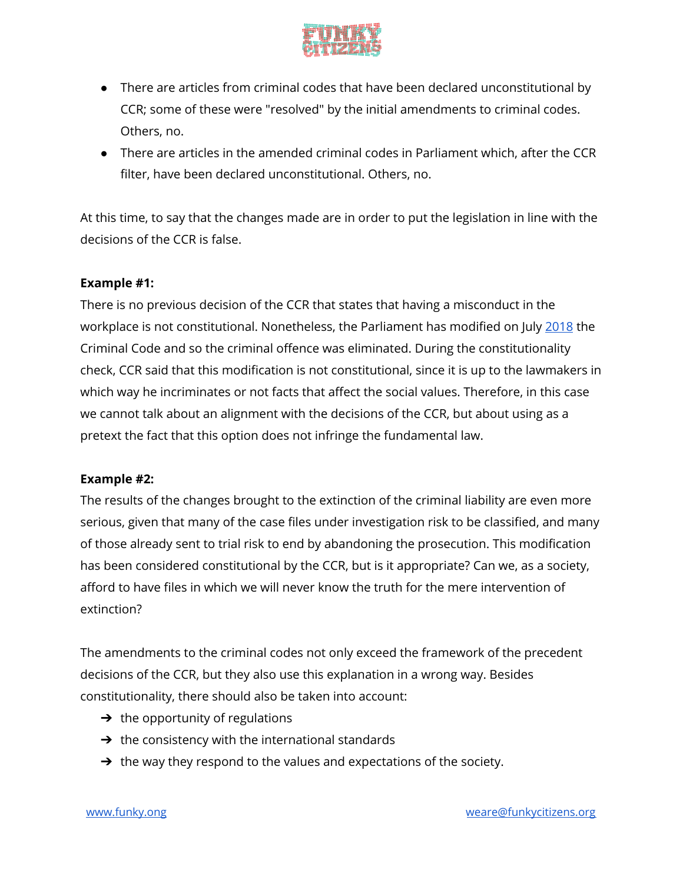

- There are articles from criminal codes that have been declared unconstitutional by CCR; some of these were "resolved" by the initial amendments to criminal codes. Others, no.
- There are articles in the amended criminal codes in Parliament which, after the CCR filter, have been declared unconstitutional. Others, no.

At this time, to say that the changes made are in order to put the legislation in line with the decisions of the CCR is false.

# **Example #1:**

There is no previous decision of the CCR that states that having a misconduct in the workplace is not constitutional. Nonetheless, the Parliament has modified on July [2018](http://www.cdep.ro/pls/proiecte/upl_pck2015.proiect?cam=2&idp=17241) the Criminal Code and so the criminal offence was eliminated. During the constitutionality check, CCR said that this modification is not constitutional, since it is up to the lawmakers in which way he incriminates or not facts that affect the social values. Therefore, in this case we cannot talk about an alignment with the decisions of the CCR, but about using as a pretext the fact that this option does not infringe the fundamental law.

## **Example #2:**

The results of the changes brought to the extinction of the criminal liability are even more serious, given that many of the case files under investigation risk to be classified, and many of those already sent to trial risk to end by abandoning the prosecution. This modification has been considered constitutional by the CCR, but is it appropriate? Can we, as a society, afford to have files in which we will never know the truth for the mere intervention of extinction?

The amendments to the criminal codes not only exceed the framework of the precedent decisions of the CCR, but they also use this explanation in a wrong way. Besides constitutionality, there should also be taken into account:

- $\rightarrow$  the opportunity of regulations
- $\rightarrow$  the consistency with the international standards
- $\rightarrow$  the way they respond to the values and expectations of the society.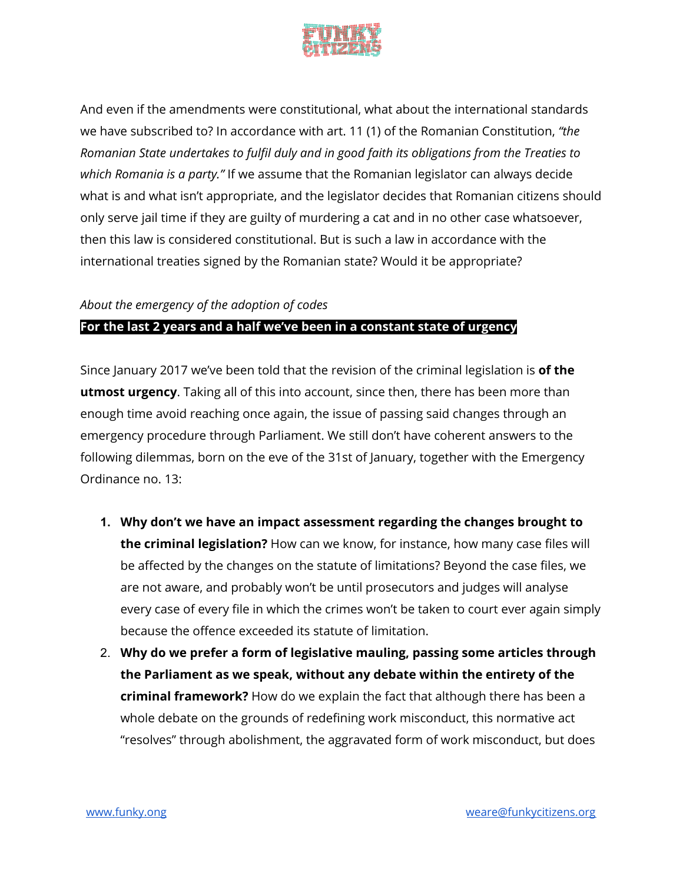

And even if the amendments were constitutional, what about the international standards we have subscribed to? In accordance with art. 11 (1) of the Romanian Constitution, *"the Romanian State undertakes to fulfil duly and in good faith its obligations from the Treaties to which Romania is a party."* If we assume that the Romanian legislator can always decide what is and what isn't appropriate, and the legislator decides that Romanian citizens should only serve jail time if they are guilty of murdering a cat and in no other case whatsoever, then this law is considered constitutional. But is such a law in accordance with the international treaties signed by the Romanian state? Would it be appropriate?

### *About the emergency of the adoption of codes*

#### **For the last 2 years and a half we've been in a constant state of urgency**

Since January 2017 we've been told that the revision of the criminal legislation is **of the utmost urgency**. Taking all of this into account, since then, there has been more than enough time avoid reaching once again, the issue of passing said changes through an emergency procedure through Parliament. We still don't have coherent answers to the following dilemmas, born on the eve of the 31st of January, together with the Emergency Ordinance no. 13:

- **1. Why don't we have an impact assessment regarding the changes brought to the criminal legislation?** How can we know, for instance, how many case files will be affected by the changes on the statute of limitations? Beyond the case files, we are not aware, and probably won't be until prosecutors and judges will analyse every case of every file in which the crimes won't be taken to court ever again simply because the offence exceeded its statute of limitation.
- 2. **Why do we prefer a form of legislative mauling, passing some articles through the Parliament as we speak, without any debate within the entirety of the criminal framework?** How do we explain the fact that although there has been a whole debate on the grounds of redefining work misconduct, this normative act "resolves" through abolishment, the aggravated form of work misconduct, but does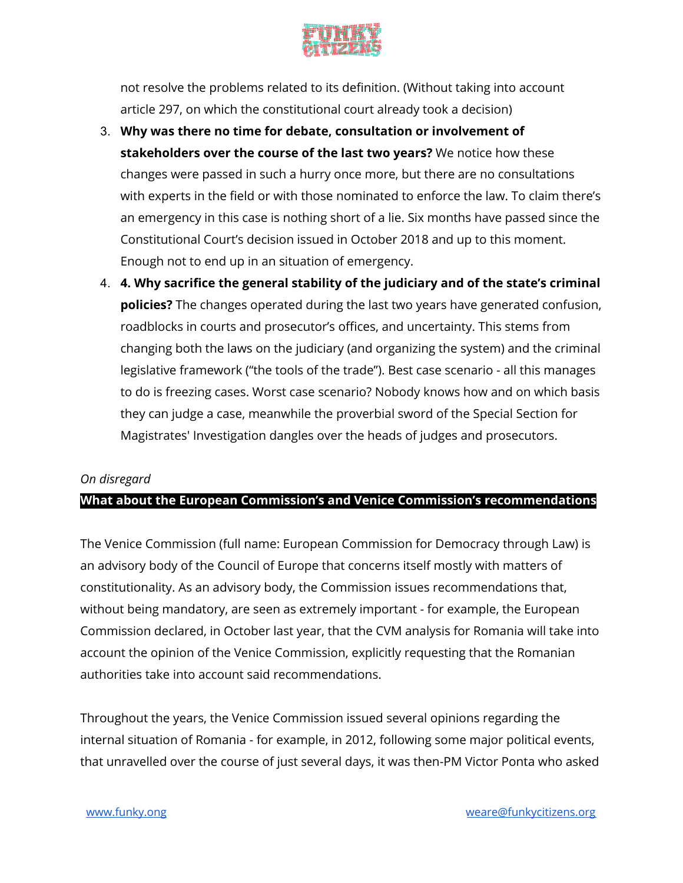

not resolve the problems related to its definition. (Without taking into account article 297, on which the constitutional court already took a decision)

- 3. **Why was there no time for debate, consultation or involvement of stakeholders over the course of the last two years?** We notice how these changes were passed in such a hurry once more, but there are no consultations with experts in the field or with those nominated to enforce the law. To claim there's an emergency in this case is nothing short of a lie. Six months have passed since the Constitutional Court's decision issued in October 2018 and up to this moment. Enough not to end up in an situation of emergency.
- 4. **4. Why sacrifice the general stability of the judiciary and of the state's criminal policies?** The changes operated during the last two years have generated confusion, roadblocks in courts and prosecutor's offices, and uncertainty. This stems from changing both the laws on the judiciary (and organizing the system) and the criminal legislative framework ("the tools of the trade"). Best case scenario - all this manages to do is freezing cases. Worst case scenario? Nobody knows how and on which basis they can judge a case, meanwhile the proverbial sword of the Special Section for Magistrates' Investigation dangles over the heads of judges and prosecutors.

#### *On disregard*

## **What about the European Commission's and Venice Commission's recommendations**

The Venice Commission (full name: European Commission for Democracy through Law) is an advisory body of the Council of Europe that concerns itself mostly with matters of constitutionality. As an advisory body, the Commission issues recommendations that, without being mandatory, are seen as extremely important - for example, the European Commission declared, in October last year, that the CVM analysis for Romania will take into account the opinion of the Venice Commission, explicitly requesting that the Romanian authorities take into account said recommendations.

Throughout the years, the Venice Commission issued several opinions regarding the internal situation of Romania - for example, in 2012, following some major political events, that unravelled over the course of just several days, it was then-PM Victor Ponta who asked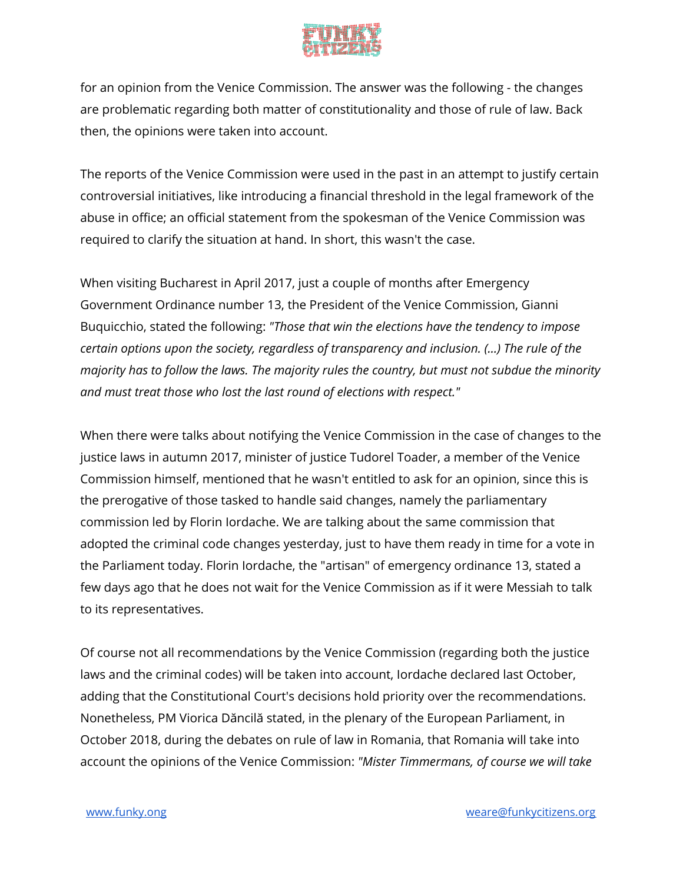

for an opinion from the Venice Commission. The answer was the following - the changes are problematic regarding both matter of constitutionality and those of rule of law. Back then, the opinions were taken into account.

The reports of the Venice Commission were used in the past in an attempt to justify certain controversial initiatives, like introducing a financial threshold in the legal framework of the abuse in office; an official statement from the spokesman of the Venice Commission was required to clarify the situation at hand. In short, this wasn't the case.

When visiting Bucharest in April 2017, just a couple of months after Emergency Government Ordinance number 13, the President of the Venice Commission, Gianni Buquicchio, stated the following: *"Those that win the elections have the tendency to impose certain options upon the society, regardless of transparency and inclusion. (...) The rule of the majority has to follow the laws. The majority rules the country, but must not subdue the minority and must treat those who lost the last round of elections with respect."*

When there were talks about notifying the Venice Commission in the case of changes to the justice laws in autumn 2017, minister of justice Tudorel Toader, a member of the Venice Commission himself, mentioned that he wasn't entitled to ask for an opinion, since this is the prerogative of those tasked to handle said changes, namely the parliamentary commission led by Florin Iordache. We are talking about the same commission that adopted the criminal code changes yesterday, just to have them ready in time for a vote in the Parliament today. Florin Iordache, the "artisan" of emergency ordinance 13, stated a few days ago that he does not wait for the Venice Commission as if it were Messiah to talk to its representatives.

Of course not all recommendations by the Venice Commission (regarding both the justice laws and the criminal codes) will be taken into account, Iordache declared last October, adding that the Constitutional Court's decisions hold priority over the recommendations. Nonetheless, PM Viorica Dăncilă stated, in the plenary of the European Parliament, in October 2018, during the debates on rule of law in Romania, that Romania will take into account the opinions of the Venice Commission: *"Mister Timmermans, of course we will take*